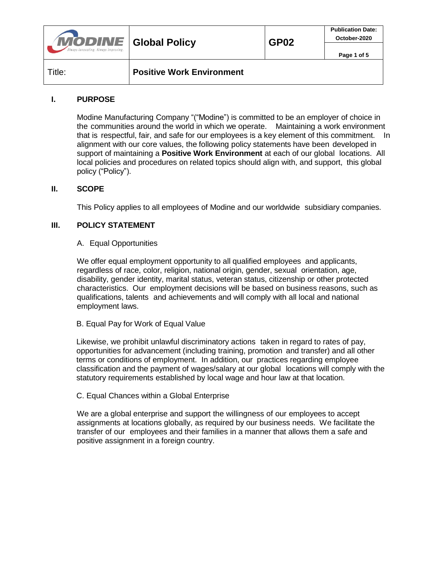| <b>MODINE</b> Global Policy<br>Always Innovating. Always Improving. |                                  | GP <sub>02</sub> | <b>Publication Date:</b><br>October-2020 |
|---------------------------------------------------------------------|----------------------------------|------------------|------------------------------------------|
|                                                                     |                                  |                  | Page 1 of 5                              |
| Title:                                                              | <b>Positive Work Environment</b> |                  |                                          |

# **I. PURPOSE**

Modine Manufacturing Company "("Modine") is committed to be an employer of choice in the communities around the world in which we operate. Maintaining a work environment that is respectful, fair, and safe for our employees is a key element of this commitment. In alignment with our core values, the following policy statements have been developed in support of maintaining a **Positive Work Environment** at each of our global locations. All local policies and procedures on related topics should align with, and support, this global policy ("Policy").

## **II. SCOPE**

This Policy applies to all employees of Modine and our worldwide subsidiary companies.

## **III. POLICY STATEMENT**

#### A. Equal Opportunities

We offer equal employment opportunity to all qualified employees and applicants, regardless of race, color, religion, national origin, gender, sexual orientation, age, disability, gender identity, marital status, veteran status, citizenship or other protected characteristics. Our employment decisions will be based on business reasons, such as qualifications, talents and achievements and will comply with all local and national employment laws.

## B. Equal Pay for Work of Equal Value

Likewise, we prohibit unlawful discriminatory actions taken in regard to rates of pay, opportunities for advancement (including training, promotion and transfer) and all other terms or conditions of employment. In addition, our practices regarding employee classification and the payment of wages/salary at our global locations will comply with the statutory requirements established by local wage and hour law at that location.

## C. Equal Chances within a Global Enterprise

We are a global enterprise and support the willingness of our employees to accept assignments at locations globally, as required by our business needs. We facilitate the transfer of our employees and their families in a manner that allows them a safe and positive assignment in a foreign country.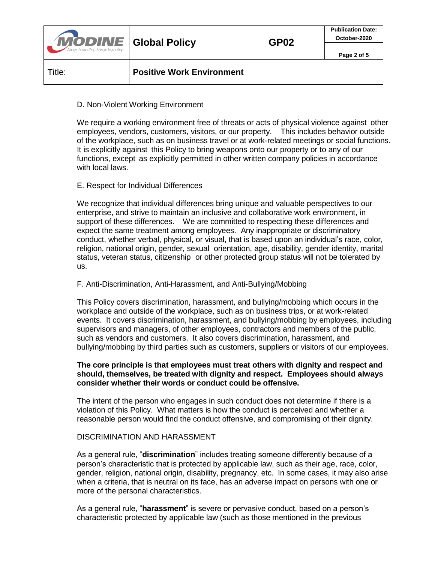| <b>MODINE</b> Global Policy<br>Always Innovating. Always Improving. |                                  | GP <sub>02</sub> | <b>Publication Date:</b><br>October-2020 |
|---------------------------------------------------------------------|----------------------------------|------------------|------------------------------------------|
|                                                                     |                                  |                  | Page 2 of 5                              |
| Title:                                                              | <b>Positive Work Environment</b> |                  |                                          |

## D. Non-Violent Working Environment

We require a working environment free of threats or acts of physical violence against other employees, vendors, customers, visitors, or our property. This includes behavior outside of the workplace, such as on business travel or at work-related meetings or social functions. It is explicitly against this Policy to bring weapons onto our property or to any of our functions, except as explicitly permitted in other written company policies in accordance with local laws.

# E. Respect for Individual Differences

We recognize that individual differences bring unique and valuable perspectives to our enterprise, and strive to maintain an inclusive and collaborative work environment, in support of these differences. We are committed to respecting these differences and expect the same treatment among employees. Any inappropriate or discriminatory conduct, whether verbal, physical, or visual, that is based upon an individual's race, color, religion, national origin, gender, sexual orientation, age, disability, gender identity, marital status, veteran status, citizenship or other protected group status will not be tolerated by us.

## F. Anti-Discrimination, Anti-Harassment, and Anti-Bullying/Mobbing

This Policy covers discrimination, harassment, and bullying/mobbing which occurs in the workplace and outside of the workplace, such as on business trips, or at work-related events. It covers discrimination, harassment, and bullying/mobbing by employees, including supervisors and managers, of other employees, contractors and members of the public, such as vendors and customers. It also covers discrimination, harassment, and bullying/mobbing by third parties such as customers, suppliers or visitors of our employees.

#### **The core principle is that employees must treat others with dignity and respect and should, themselves, be treated with dignity and respect. Employees should always consider whether their words or conduct could be offensive.**

The intent of the person who engages in such conduct does not determine if there is a violation of this Policy. What matters is how the conduct is perceived and whether a reasonable person would find the conduct offensive, and compromising of their dignity.

## DISCRIMINATION AND HARASSMENT

As a general rule, "**discrimination**" includes treating someone differently because of a person's characteristic that is protected by applicable law, such as their age, race, color, gender, religion, national origin, disability, pregnancy, etc. In some cases, it may also arise when a criteria, that is neutral on its face, has an adverse impact on persons with one or more of the personal characteristics.

As a general rule, "**harassment**" is severe or pervasive conduct, based on a person's characteristic protected by applicable law (such as those mentioned in the previous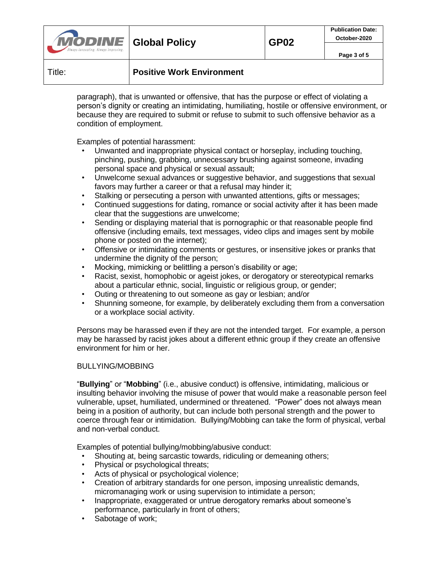| <b>MODINE</b> Global Policy         |  | <b>GP02</b> | <b>Publication Date:</b><br>October-2020 |
|-------------------------------------|--|-------------|------------------------------------------|
| Vways Innovating. Always Improving. |  |             | Page 3 of 5                              |
|                                     |  |             |                                          |

## Title: **Positive Work Environment**

paragraph), that is unwanted or offensive, that has the purpose or effect of violating a person's dignity or creating an intimidating, humiliating, hostile or offensive environment, or because they are required to submit or refuse to submit to such offensive behavior as a condition of employment.

Examples of potential harassment:

- Unwanted and inappropriate physical contact or horseplay, including touching, pinching, pushing, grabbing, unnecessary brushing against someone, invading personal space and physical or sexual assault;
- Unwelcome sexual advances or suggestive behavior, and suggestions that sexual favors may further a career or that a refusal may hinder it;
- Stalking or persecuting a person with unwanted attentions, gifts or messages;
- Continued suggestions for dating, romance or social activity after it has been made clear that the suggestions are unwelcome;
- Sending or displaying material that is pornographic or that reasonable people find offensive (including emails, text messages, video clips and images sent by mobile phone or posted on the internet);
- Offensive or intimidating comments or gestures, or insensitive jokes or pranks that undermine the dignity of the person;
- Mocking, mimicking or belittling a person's disability or age;
- Racist, sexist, homophobic or ageist jokes, or derogatory or stereotypical remarks about a particular ethnic, social, linguistic or religious group, or gender;
- Outing or threatening to out someone as gay or lesbian; and/or
- Shunning someone, for example, by deliberately excluding them from a conversation or a workplace social activity.

Persons may be harassed even if they are not the intended target. For example, a person may be harassed by racist jokes about a different ethnic group if they create an offensive environment for him or her.

## BULLYING/MOBBING

"**Bullying**" or "**Mobbing**" (i.e., abusive conduct) is offensive, intimidating, malicious or insulting behavior involving the misuse of power that would make a reasonable person feel vulnerable, upset, humiliated, undermined or threatened. "Power" does not always mean being in a position of authority, but can include both personal strength and the power to coerce through fear or intimidation. Bullying/Mobbing can take the form of physical, verbal and non-verbal conduct.

Examples of potential bullying/mobbing/abusive conduct:

- Shouting at, being sarcastic towards, ridiculing or demeaning others;
- Physical or psychological threats;
- Acts of physical or psychological violence;
- Creation of arbitrary standards for one person, imposing unrealistic demands, micromanaging work or using supervision to intimidate a person;
- Inappropriate, exaggerated or untrue derogatory remarks about someone's performance, particularly in front of others;
- Sabotage of work;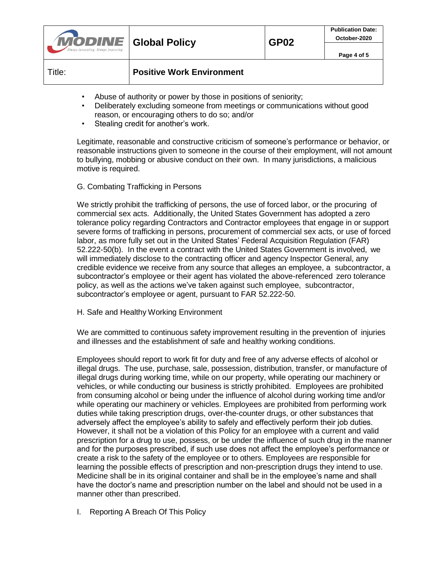| <b>MODINE</b> Global Policy<br>Always Innovating. Always Improving. |                                  | <b>GP02</b> | <b>Publication Date:</b><br>October-2020 |
|---------------------------------------------------------------------|----------------------------------|-------------|------------------------------------------|
|                                                                     |                                  |             | Page 4 of 5                              |
| Title:                                                              | <b>Positive Work Environment</b> |             |                                          |

- Abuse of authority or power by those in positions of seniority;
- Deliberately excluding someone from meetings or communications without good reason, or encouraging others to do so; and/or
- Stealing credit for another's work.

Legitimate, reasonable and constructive criticism of someone's performance or behavior, or reasonable instructions given to someone in the course of their employment, will not amount to bullying, mobbing or abusive conduct on their own. In many jurisdictions, a malicious motive is required.

# G. Combating Trafficking in Persons

We strictly prohibit the trafficking of persons, the use of forced labor, or the procuring of commercial sex acts. Additionally, the United States Government has adopted a zero tolerance policy regarding Contractors and Contractor employees that engage in or support severe forms of trafficking in persons, procurement of commercial sex acts, or use of forced labor, as more fully set out in the United States' Federal Acquisition Regulation (FAR) 52.222-50(b). In the event a contract with the United States Government is involved, we will immediately disclose to the contracting officer and agency Inspector General, any credible evidence we receive from any source that alleges an employee, a subcontractor, a subcontractor's employee or their agent has violated the above-referenced zero tolerance policy, as well as the actions we've taken against such employee, subcontractor, subcontractor's employee or agent, pursuant to FAR 52.222-50.

H. Safe and Healthy Working Environment

We are committed to continuous safety improvement resulting in the prevention of injuries and illnesses and the establishment of safe and healthy working conditions.

Employees should report to work fit for duty and free of any adverse effects of alcohol or illegal drugs. The use, purchase, sale, possession, distribution, transfer, or manufacture of illegal drugs during working time, while on our property, while operating our machinery or vehicles, or while conducting our business is strictly prohibited. Employees are prohibited from consuming alcohol or being under the influence of alcohol during working time and/or while operating our machinery or vehicles. Employees are prohibited from performing work duties while taking prescription drugs, over-the-counter drugs, or other substances that adversely affect the employee's ability to safely and effectively perform their job duties. However, it shall not be a violation of this Policy for an employee with a current and valid prescription for a drug to use, possess, or be under the influence of such drug in the manner and for the purposes prescribed, if such use does not affect the employee's performance or create a risk to the safety of the employee or to others. Employees are responsible for learning the possible effects of prescription and non-prescription drugs they intend to use. Medicine shall be in its original container and shall be in the employee's name and shall have the doctor's name and prescription number on the label and should not be used in a manner other than prescribed.

I. Reporting A Breach Of This Policy